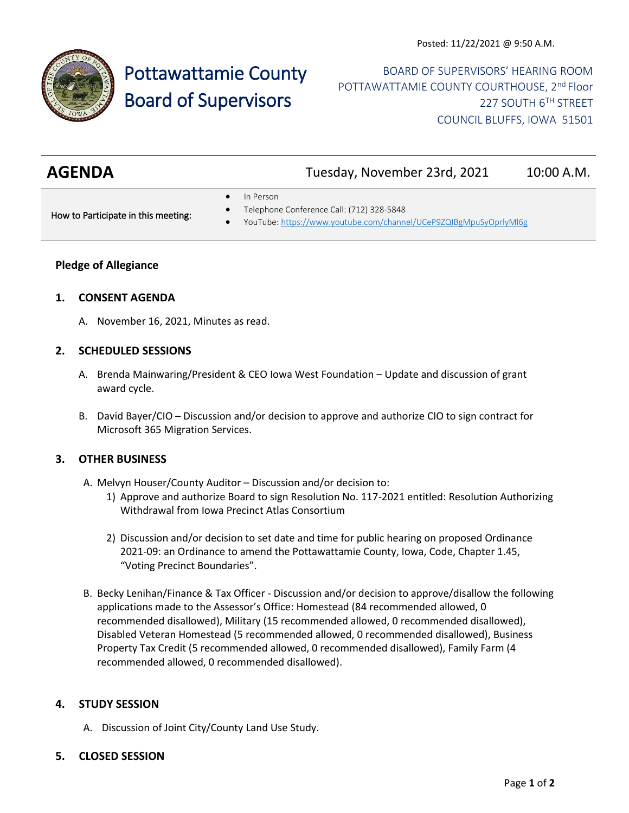

# Pottawattamie County Board of Supervisors

# BOARD OF SUPERVISORS' HEARING ROOM POTTAWATTAMIE COUNTY COURTHOUSE, 2<sup>nd</sup> Floor 227 SOUTH 6TH STREET COUNCIL BLUFFS, IOWA 51501

| <b>AGENDA</b> | Tuesday, November 23rd, 2021 | 10:00 A.M. |
|---------------|------------------------------|------------|
|               |                              |            |

In Person

How to Participate in this meeting:

- Telephone Conference Call: (712) 328-5848
- YouTube[: https://www.youtube.com/channel/UCeP9ZQIBgMpuSyOprlyMl6g](https://www.youtube.com/channel/UCeP9ZQIBgMpuSyOprlyMl6g)

# **Pledge of Allegiance**

#### **1. CONSENT AGENDA**

A. November 16, 2021, Minutes as read.

#### **2. SCHEDULED SESSIONS**

- A. Brenda Mainwaring/President & CEO Iowa West Foundation Update and discussion of grant award cycle.
- B. David Bayer/CIO Discussion and/or decision to approve and authorize CIO to sign contract for Microsoft 365 Migration Services.

# **3. OTHER BUSINESS**

- A. Melvyn Houser/County Auditor Discussion and/or decision to:
	- 1) Approve and authorize Board to sign Resolution No. 117-2021 entitled: Resolution Authorizing Withdrawal from Iowa Precinct Atlas Consortium
	- 2) Discussion and/or decision to set date and time for public hearing on proposed Ordinance 2021-09: an Ordinance to amend the Pottawattamie County, Iowa, Code, Chapter 1.45, "Voting Precinct Boundaries".
- B. Becky Lenihan/Finance & Tax Officer Discussion and/or decision to approve/disallow the following applications made to the Assessor's Office: Homestead (84 recommended allowed, 0 recommended disallowed), Military (15 recommended allowed, 0 recommended disallowed), Disabled Veteran Homestead (5 recommended allowed, 0 recommended disallowed), Business Property Tax Credit (5 recommended allowed, 0 recommended disallowed), Family Farm (4 recommended allowed, 0 recommended disallowed).

# **4. STUDY SESSION**

- A. Discussion of Joint City/County Land Use Study.
- **5. CLOSED SESSION**